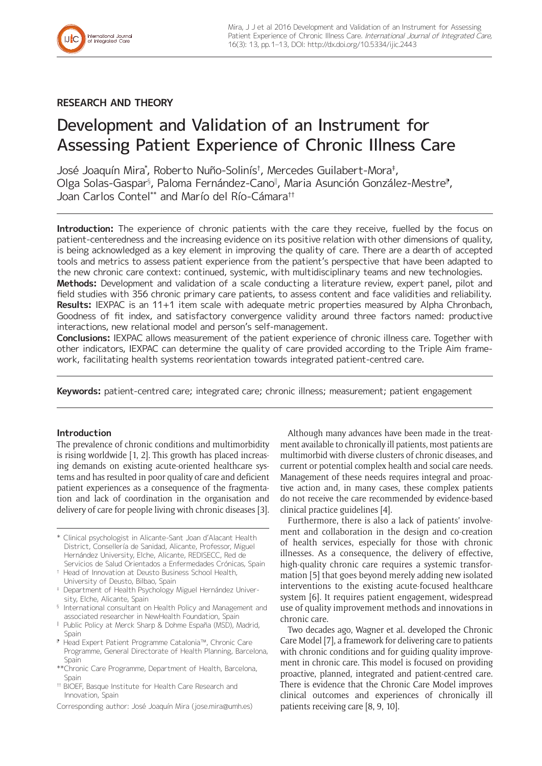

# **RESEARCH AND THEORY**

# Development and Validation of an Instrument for Assessing Patient Experience of Chronic Illness Care

José Joaquín Mira\* , Roberto Nuño-Solinís† , Mercedes Guilabert-Mora‡ , Olga Solas-Gaspar§, Paloma Fernández-Cano‼, Maria Asunción González-Mestre‼, Joan Carlos Contel\*\* and Marío del Río-Cámara††

**Introduction:** The experience of chronic patients with the care they receive, fuelled by the focus on patient-centeredness and the increasing evidence on its positive relation with other dimensions of quality, is being acknowledged as a key element in improving the quality of care. There are a dearth of accepted tools and metrics to assess patient experience from the patient's perspective that have been adapted to the new chronic care context: continued, systemic, with multidisciplinary teams and new technologies.

**Methods:** Development and validation of a scale conducting a literature review, expert panel, pilot and field studies with 356 chronic primary care patients, to assess content and face validities and reliability. **Results:** IEXPAC is an 11+1 item scale with adequate metric properties measured by Alpha Chronbach, Goodness of fit index, and satisfactory convergence validity around three factors named: productive interactions, new relational model and person's self-management.

**Conclusions:** IEXPAC allows measurement of the patient experience of chronic illness care. Together with other indicators, IEXPAC can determine the quality of care provided according to the Triple Aim framework, facilitating health systems reorientation towards integrated patient-centred care.

**Keywords:** patient-centred care; integrated care; chronic illness; measurement; patient engagement

#### **Introduction**

The prevalence of chronic conditions and multimorbidity is rising worldwide [1, 2]. This growth has placed increasing demands on existing acute-oriented healthcare systems and has resulted in poor quality of care and deficient patient experiences as a consequence of the fragmentation and lack of coordination in the organisation and delivery of care for people living with chronic diseases [3].

- \* Clinical psychologist in Alicante-Sant Joan d'Alacant Health District, Consellería de Sanidad, Alicante, Professor, Miguel Hernández University, Elche, Alicante, REDISECC, Red de Servicios de Salud Orientados a Enfermedades Crónicas, Spain
- † Head of Innovation at Deusto Business School Health, University of Deusto, Bilbao, Spain
- ‡ Department of Health Psychology Miguel Hernández University, Elche, Alicante, Spain
- <sup>§</sup> International consultant on Health Policy and Management and associated researcher in NewHealth Foundation, Spain
- ‖ Public Policy at Merck Sharp & Dohme España (MSD), Madrid, Spain
- ⁋ Head Expert Patient Programme Catalonia™, Chronic Care Programme, General Directorate of Health Planning, Barcelona, Spain
- \*\*Chronic Care Programme, Department of Health, Barcelona, Spain
- †† BIOEF, Basque Institute for Health Care Research and Innovation, Spain

Corresponding author: José Joaquín Mira ([jose.mira@umh.es\)](mailto:jose.mira@umh.es)

Although many advances have been made in the treatment available to chronically ill patients, most patients are multimorbid with diverse clusters of chronic diseases, and current or potential complex health and social care needs. Management of these needs requires integral and proactive action and, in many cases, these complex patients do not receive the care recommended by evidence-based clinical practice guidelines [4].

Furthermore, there is also a lack of patients' involvement and collaboration in the design and co-creation of health services, especially for those with chronic illnesses. As a consequence, the delivery of effective, high-quality chronic care requires a systemic transformation [5] that goes beyond merely adding new isolated interventions to the existing acute-focused healthcare system [6]. It requires patient engagement, widespread use of quality improvement methods and innovations in chronic care.

Two decades ago, Wagner et al. developed the Chronic Care Model [7], a framework for delivering care to patients with chronic conditions and for guiding quality improvement in chronic care. This model is focused on providing proactive, planned, integrated and patient-centred care. There is evidence that the Chronic Care Model improves clinical outcomes and experiences of chronically ill patients receiving care [8, 9, 10].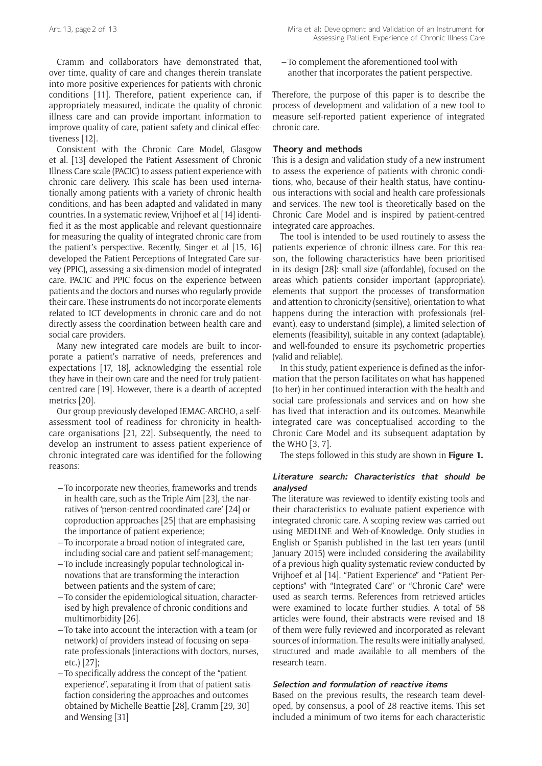Cramm and collaborators have demonstrated that, over time, quality of care and changes therein translate into more positive experiences for patients with chronic conditions [11]. Therefore, patient experience can, if appropriately measured, indicate the quality of chronic illness care and can provide important information to improve quality of care, patient safety and clinical effectiveness [12].

Consistent with the Chronic Care Model, Glasgow et al. [13] developed the Patient Assessment of Chronic Illness Care scale (PACIC) to assess patient experience with chronic care delivery. This scale has been used internationally among patients with a variety of chronic health conditions, and has been adapted and validated in many countries. In a systematic review, Vrijhoef et al [14] identified it as the most applicable and relevant questionnaire for measuring the quality of integrated chronic care from the patient's perspective. Recently, Singer et al [15, 16] developed the Patient Perceptions of Integrated Care survey (PPIC), assessing a six-dimension model of integrated care. PACIC and PPIC focus on the experience between patients and the doctors and nurses who regularly provide their care. These instruments do not incorporate elements related to ICT developments in chronic care and do not directly assess the coordination between health care and social care providers.

Many new integrated care models are built to incorporate a patient's narrative of needs, preferences and expectations [17, 18], acknowledging the essential role they have in their own care and the need for truly patientcentred care [19]. However, there is a dearth of accepted metrics [20].

Our group previously developed IEMAC-ARCHO, a selfassessment tool of readiness for chronicity in healthcare organisations [21, 22]. Subsequently, the need to develop an instrument to assess patient experience of chronic integrated care was identified for the following reasons:

- To incorporate new theories, frameworks and trends in health care, such as the Triple Aim [23], the narratives of 'person-centred coordinated care' [24] or coproduction approaches [25] that are emphasising the importance of patient experience;
- To incorporate a broad notion of integrated care, including social care and patient self-management;
- To include increasingly popular technological innovations that are transforming the interaction between patients and the system of care;
- To consider the epidemiological situation, characterised by high prevalence of chronic conditions and multimorbidity [26].
- To take into account the interaction with a team (or network) of providers instead of focusing on separate professionals (interactions with doctors, nurses, etc.) [27];
- To specifically address the concept of the "patient experience", separating it from that of patient satisfaction considering the approaches and outcomes obtained by Michelle Beattie [28], Cramm [29, 30] and Wensing [31]

– To complement the aforementioned tool with another that incorporates the patient perspective.

Therefore, the purpose of this paper is to describe the process of development and validation of a new tool to measure self-reported patient experience of integrated chronic care.

# **Theory and methods**

This is a design and validation study of a new instrument to assess the experience of patients with chronic conditions, who, because of their health status, have continuous interactions with social and health care professionals and services. The new tool is theoretically based on the Chronic Care Model and is inspired by patient-centred integrated care approaches.

The tool is intended to be used routinely to assess the patients experience of chronic illness care. For this reason, the following characteristics have been prioritised in its design [28]: small size (affordable), focused on the areas which patients consider important (appropriate), elements that support the processes of transformation and attention to chronicity (sensitive), orientation to what happens during the interaction with professionals (relevant), easy to understand (simple), a limited selection of elements (feasibility), suitable in any context (adaptable), and well-founded to ensure its psychometric properties (valid and reliable).

In this study, patient experience is defined as the information that the person facilitates on what has happened (to her) in her continued interaction with the health and social care professionals and services and on how she has lived that interaction and its outcomes. Meanwhile integrated care was conceptualised according to the Chronic Care Model and its subsequent adaptation by the WHO [3, 7].

The steps followed in this study are shown in **Figure 1.**

# **Literature search: Characteristics that should be analysed**

The literature was reviewed to identify existing tools and their characteristics to evaluate patient experience with integrated chronic care. A scoping review was carried out using MEDLINE and Web-of-Knowledge. Only studies in English or Spanish published in the last ten years (until January 2015) were included considering the availability of a previous high quality systematic review conducted by Vrijhoef et al [14]. "Patient Experience" and "Patient Perceptions" with "Integrated Care" or "Chronic Care" were used as search terms. References from retrieved articles were examined to locate further studies. A total of 58 articles were found, their abstracts were revised and 18 of them were fully reviewed and incorporated as relevant sources of information. The results were initially analysed, structured and made available to all members of the research team.

#### **Selection and formulation of reactive items**

Based on the previous results, the research team developed, by consensus, a pool of 28 reactive items. This set included a minimum of two items for each characteristic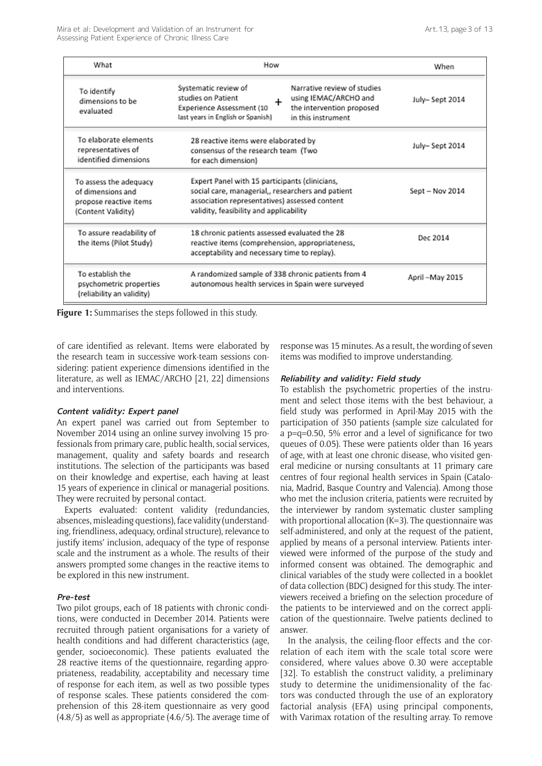| What                                                                                        | How                                                                                                                                                                                                                          | When              |  |
|---------------------------------------------------------------------------------------------|------------------------------------------------------------------------------------------------------------------------------------------------------------------------------------------------------------------------------|-------------------|--|
| To identify<br>dimensions to be<br>evaluated                                                | Narrative review of studies<br>Systematic review of<br>studies on Patient<br>using IEMAC/ARCHO and<br>÷<br>the intervention proposed<br>Experience Assessment (10<br>last years in English or Spanish)<br>in this instrument | July-Sept 2014    |  |
| To elaborate elements<br>representatives of<br>identified dimensions                        | 28 reactive items were elaborated by<br>consensus of the research team (Two<br>for each dimension)                                                                                                                           | July-Sept 2014    |  |
| To assess the adequacy<br>of dimensions and<br>propose reactive items<br>(Content Validity) | Expert Panel with 15 participants (clinicians,<br>social care, managerial,, researchers and patient<br>association representatives) assessed content<br>validity, feasibility and applicability                              | $Sept - Nov 2014$ |  |
| To assure readability of<br>the items (Pilot Study)                                         | 18 chronic patients assessed evaluated the 28<br>reactive items (comprehension, appropriateness,<br>acceptability and necessary time to replay).                                                                             | Dec 2014          |  |
| To establish the<br>psychometric properties<br>(reliability an validity)                    | A randomized sample of 338 chronic patients from 4<br>autonomous health services in Spain were surveyed                                                                                                                      | April-May 2015    |  |

**Figure 1:** Summarises the steps followed in this study.

of care identified as relevant. Items were elaborated by the research team in successive work-team sessions considering: patient experience dimensions identified in the literature, as well as IEMAC/ARCHO [21, 22] dimensions and interventions.

# **Content validity: Expert panel**

An expert panel was carried out from September to November 2014 using an online survey involving 15 professionals from primary care, public health, social services, management, quality and safety boards and research institutions. The selection of the participants was based on their knowledge and expertise, each having at least 15 years of experience in clinical or managerial positions. They were recruited by personal contact.

Experts evaluated: content validity (redundancies, absences, misleading questions), face validity (understanding, friendliness, adequacy, ordinal structure), relevance to justify items' inclusion, adequacy of the type of response scale and the instrument as a whole. The results of their answers prompted some changes in the reactive items to be explored in this new instrument.

#### **Pre-test**

Two pilot groups, each of 18 patients with chronic conditions, were conducted in December 2014. Patients were recruited through patient organisations for a variety of health conditions and had different characteristics (age, gender, socioeconomic). These patients evaluated the 28 reactive items of the questionnaire, regarding appropriateness, readability, acceptability and necessary time of response for each item, as well as two possible types of response scales. These patients considered the comprehension of this 28-item questionnaire as very good (4.8/5) as well as appropriate (4.6/5). The average time of response was 15 minutes. As a result, the wording of seven items was modified to improve understanding.

#### **Reliability and validity: Field study**

To establish the psychometric properties of the instrument and select those items with the best behaviour, a field study was performed in April-May 2015 with the participation of 350 patients (sample size calculated for a p=q=0.50, 5% error and a level of significance for two queues of 0.05). These were patients older than 16 years of age, with at least one chronic disease, who visited general medicine or nursing consultants at 11 primary care centres of four regional health services in Spain (Catalonia, Madrid, Basque Country and Valencia). Among those who met the inclusion criteria, patients were recruited by the interviewer by random systematic cluster sampling with proportional allocation (K=3). The questionnaire was self-administered, and only at the request of the patient, applied by means of a personal interview. Patients interviewed were informed of the purpose of the study and informed consent was obtained. The demographic and clinical variables of the study were collected in a booklet of data collection (BDC) designed for this study. The interviewers received a briefing on the selection procedure of the patients to be interviewed and on the correct application of the questionnaire. Twelve patients declined to answer.

In the analysis, the ceiling-floor effects and the correlation of each item with the scale total score were considered, where values above 0.30 were acceptable [32]. To establish the construct validity, a preliminary study to determine the unidimensionality of the factors was conducted through the use of an exploratory factorial analysis (EFA) using principal components, with Varimax rotation of the resulting array. To remove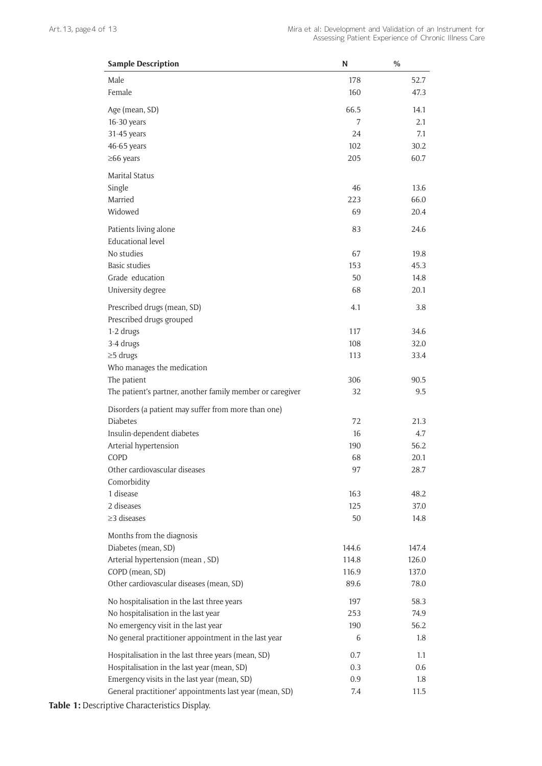| <b>Sample Description</b>                                 | N     | $\%$  |
|-----------------------------------------------------------|-------|-------|
| Male                                                      | 178   | 52.7  |
| Female                                                    | 160   | 47.3  |
| Age (mean, SD)                                            | 66.5  | 14.1  |
| 16-30 years                                               | 7     | 2.1   |
| 31-45 years                                               | 24    | 7.1   |
| 46-65 years                                               | 102   | 30.2  |
| $\geq$ 66 years                                           | 205   | 60.7  |
| <b>Marital Status</b>                                     |       |       |
| Single                                                    | 46    | 13.6  |
| Married                                                   | 223   | 66.0  |
| Widowed                                                   | 69    | 20.4  |
| Patients living alone                                     | 83    | 24.6  |
| <b>Educational level</b>                                  |       |       |
| No studies                                                | 67    | 19.8  |
| <b>Basic studies</b>                                      | 153   | 45.3  |
| Grade education                                           | 50    | 14.8  |
| University degree                                         | 68    | 20.1  |
| Prescribed drugs (mean, SD)                               | 4.1   | 3.8   |
| Prescribed drugs grouped                                  |       |       |
| 1-2 drugs                                                 | 117   | 34.6  |
| 3-4 drugs                                                 | 108   | 32.0  |
| $\geq$ 5 drugs                                            | 113   | 33.4  |
| Who manages the medication                                |       |       |
| The patient                                               | 306   | 90.5  |
| The patient's partner, another family member or caregiver | 32    | 9.5   |
| Disorders (a patient may suffer from more than one)       |       |       |
| <b>Diabetes</b>                                           | 72    | 21.3  |
| Insulin-dependent diabetes                                | 16    | 4.7   |
| Arterial hypertension                                     | 190   | 56.2  |
| COPD                                                      | 68    | 20.1  |
| Other cardiovascular diseases                             | 97    | 28.7  |
| Comorbidity                                               |       |       |
| 1 disease                                                 | 163   | 48.2  |
| 2 diseases                                                | 125   | 37.0  |
| $\geq$ 3 diseases                                         | 50    | 14.8  |
| Months from the diagnosis                                 |       |       |
| Diabetes (mean, SD)                                       | 144.6 | 147.4 |
| Arterial hypertension (mean, SD)                          | 114.8 | 126.0 |
| COPD (mean, SD)                                           | 116.9 | 137.0 |
| Other cardiovascular diseases (mean, SD)                  | 89.6  | 78.0  |
| No hospitalisation in the last three years                | 197   | 58.3  |
| No hospitalisation in the last year                       | 253   | 74.9  |
| No emergency visit in the last year                       | 190   | 56.2  |
| No general practitioner appointment in the last year      | 6     | 1.8   |
| Hospitalisation in the last three years (mean, SD)        | 0.7   | 1.1   |
| Hospitalisation in the last year (mean, SD)               | 0.3   | 0.6   |
| Emergency visits in the last year (mean, SD)              | 0.9   | 1.8   |
| General practitioner' appointments last year (mean, SD)   | 7.4   | 11.5  |

**Table 1:** Descriptive Characteristics Display.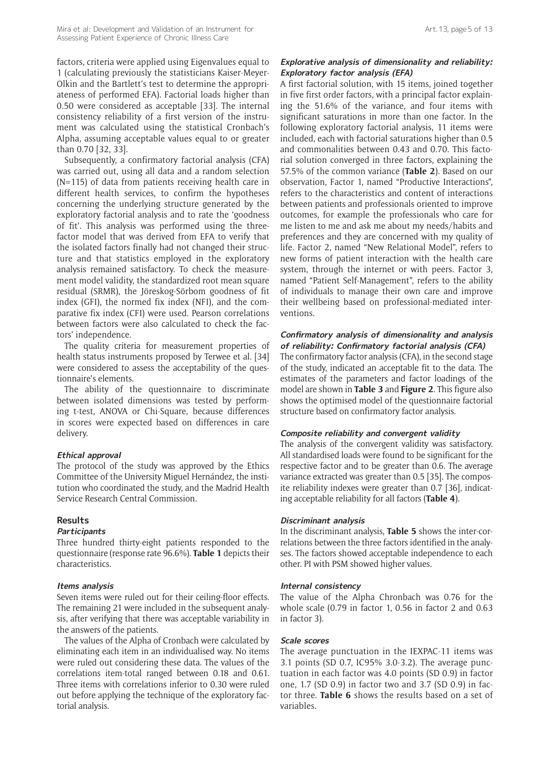factors, criteria were applied using Eigenvalues equal to 1 (calculating previously the statisticians Kaiser-Meyer-Olkin and the Bartlett's test to determine the appropriateness of performed EFA). Factorial loads higher than 0.50 were considered as acceptable [33]. The internal consistency reliability of a first version of the instrument was calculated using the statistical Cronbach's Alpha, assuming acceptable values equal to or greater than 0.70 [32, 33].

Subsequently, a confirmatory factorial analysis (CFA) was carried out, using all data and a random selection (N=115) of data from patients receiving health care in different health services, to confirm the hypotheses concerning the underlying structure generated by the exploratory factorial analysis and to rate the 'goodness of fit'. This analysis was performed using the threefactor model that was derived from EFA to verify that the isolated factors finally had not changed their structure and that statistics employed in the exploratory analysis remained satisfactory. To check the measurement model validity, the standardized root mean square residual (SRMR), the Jöreskog-Sörbom goodness of fit index (GFI), the normed fix index (NFI), and the comparative fix index (CFI) were used. Pearson correlations between factors were also calculated to check the factors' independence.

The quality criteria for measurement properties of health status instruments proposed by Terwee et al. [34] were considered to assess the acceptability of the questionnaire's elements.

The ability of the questionnaire to discriminate between isolated dimensions was tested by performing t-test, ANOVA or Chi-Square, because differences in scores were expected based on differences in care delivery.

#### **Ethical approval**

The protocol of the study was approved by the Ethics Committee of the University Miguel Hernández, the institution who coordinated the study, and the Madrid Health Service Research Central Commission.

# **Results**

# **Participants**

Three hundred thirty-eight patients responded to the questionnaire (response rate 96.6%). **Table 1** depicts their characteristics.

#### **Items analysis**

Seven items were ruled out for their ceiling-floor effects. The remaining 21 were included in the subsequent analysis, after verifying that there was acceptable variability in the answers of the patients.

The values of the Alpha of Cronbach were calculated by eliminating each item in an individualised way. No items were ruled out considering these data. The values of the correlations item-total ranged between 0.18 and 0.61. Three items with correlations inferior to 0.30 were ruled out before applying the technique of the exploratory factorial analysis.

# **Explorative analysis of dimensionality and reliability: Exploratory factor analysis (EFA)**

A first factorial solution, with 15 items, joined together in five first order factors, with a principal factor explaining the 51.6% of the variance, and four items with significant saturations in more than one factor. In the following exploratory factorial analysis, 11 items were included, each with factorial saturations higher than 0.5 and commonalities between 0.43 and 0.70. This factorial solution converged in three factors, explaining the 57.5% of the common variance (**Table 2**). Based on our observation, Factor 1, named "Productive Interactions", refers to the characteristics and content of interactions between patients and professionals oriented to improve outcomes, for example the professionals who care for me listen to me and ask me about my needs/habits and preferences and they are concerned with my quality of life. Factor 2, named "New Relational Model", refers to new forms of patient interaction with the health care system, through the internet or with peers. Factor 3, named "Patient Self-Management", refers to the ability of individuals to manage their own care and improve their wellbeing based on professional-mediated interventions.

# **Confirmatory analysis of dimensionality and analysis of reliability: Confirmatory factorial analysis (CFA)**

The confirmatory factor analysis (CFA), in the second stage of the study, indicated an acceptable fit to the data. The estimates of the parameters and factor loadings of the model are shown in **Table 3** and **Figure 2**. This figure also shows the optimised model of the questionnaire factorial structure based on confirmatory factor analysis.

# **Composite reliability and convergent validity**

The analysis of the convergent validity was satisfactory. All standardised loads were found to be significant for the respective factor and to be greater than 0.6. The average variance extracted was greater than 0.5 [35]. The composite reliability indexes were greater than 0.7 [36], indicating acceptable reliability for all factors (**Table 4**).

#### **Discriminant analysis**

In the discriminant analysis, **Table 5** shows the inter-correlations between the three factors identified in the analyses. The factors showed acceptable independence to each other. PI with PSM showed higher values.

#### **Internal consistency**

The value of the Alpha Chronbach was 0.76 for the whole scale (0.79 in factor 1, 0.56 in factor 2 and 0.63 in factor 3).

#### **Scale scores**

The average punctuation in the IEXPAC-11 items was 3.1 points (SD 0.7, IC95% 3.0-3.2). The average punctuation in each factor was 4.0 points (SD 0.9) in factor one, 1.7 (SD 0.9) in factor two and 3.7 (SD 0.9) in factor three. **Table 6** shows the results based on a set of variables.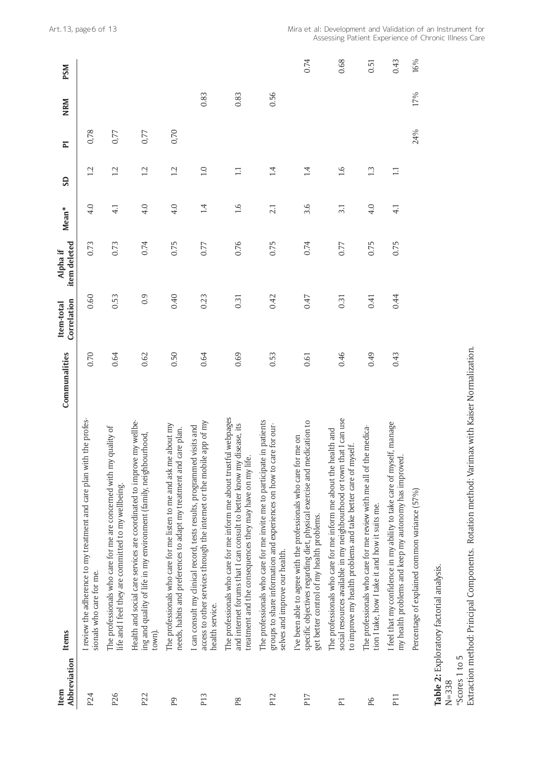| Abbreviation<br>Item | <b>Items</b>                                                                                                                                                                                                       | Communalities | Correlation<br>Item-total | item deleted<br>Alpha if | Mean*            | <b>GS</b>        | $\overline{\mathbf{r}}$ | <b>NRM</b> | <b>PSM</b> |
|----------------------|--------------------------------------------------------------------------------------------------------------------------------------------------------------------------------------------------------------------|---------------|---------------------------|--------------------------|------------------|------------------|-------------------------|------------|------------|
| P24                  | I review the adherence to my treatment and care plan with the profes-<br>sionals who care for me.                                                                                                                  | 0.70          | 0.60                      | 0.73                     | 4.0              | 1.2              | 0,78                    |            |            |
| P <sub>26</sub>      | The professionals who care for me are concerned with my quality of<br>life and I feel they are committed to my wellbeing.                                                                                          | 0.64          | 0.53                      | 0.73                     | $\overline{4.1}$ | 1.2              | 0,77                    |            |            |
| P <sub>22</sub>      | Health and social care services are coordinated to improve my wellbe-<br>ing and quality of life in my environment (family, neighbourhood,<br>town).                                                               | 0.62          | 0.9                       | 0.74                     | 4.0              | 1.2              | 0,77                    |            |            |
| P9                   | The professionals who care for me listen to me and ask me about my<br>needs, habits and preferences to adapt my treatment and care plan.                                                                           | 0.50          | 0.40                      | 0.75                     | 4.0              | 12               | 0,70                    |            |            |
| P <sub>13</sub>      | access to other services through the internet or the mobile app of my<br>I can consult my clinical record, tests results, programmed visits and<br>health service.                                                 | 0.64          | 0.23                      | 0.77                     | 1.4              | $\overline{1.0}$ |                         | 0.83       |            |
| P8                   | The professionals who care for me inform me about trustful webpages<br>and internet forums that I can consult to better know my disease, its<br>treatment and the consequences they may have on my life.           | 0.69          | 0.31                      | 0.76                     | 1.6              | $\Box$           |                         | 0.83       |            |
| P <sub>12</sub>      | The professionals who care for me invite me to participate in patients<br>groups to share information and experiences on how to care for our-<br>selves and improve our health.                                    | 0.53          | 0.42                      | 0.75                     | 2.1              | 1.4              |                         | 0.56       |            |
| P <sub>17</sub>      | specific objectives regarding diet, physical exercise and medication to<br>I've been able to agree with the professionals who care for me on<br>get better control of my health problems.                          | 0.61          | 0.47                      | 0.74                     | 3.6              | 14               |                         |            | 0.74       |
| $\overline{P}$       | that I can use<br>health and<br>to improve my health problems and take better care of myself.<br>The professionals who care for me inform me about the I<br>social resources available in my neighbourhood or town | 0.46          | 0.31                      | 0.77                     | 3.1              | 1.6              |                         |            | 0.68       |
| P6                   | The professionals who care for me review with me all of the medica-<br>tion I take, how I take it and how it suits me.                                                                                             | 0.49          | 0.41                      | 0.75                     | 4.0              | $\frac{13}{2}$   |                         |            | 0.51       |
| P <sub>11</sub>      | I feel that my confidence in my ability to take care of myself, manage<br>my health problems and keep my autonomy has improved.                                                                                    | 0.43          | 0.44                      | 0.75                     | $\overline{4.1}$ | $\Box$           |                         |            | 0.43       |
|                      | Percentage of explained common variance (57%)                                                                                                                                                                      |               |                           |                          |                  |                  | 24%                     | 17%        | 16%        |

**Table 2:** Exploratory factorial analysis.

\*Scores 1 to 5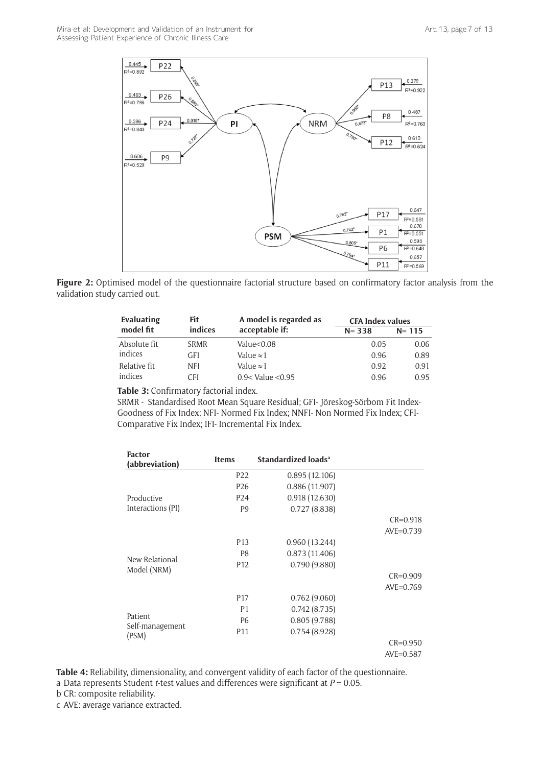

**Figure 2:** Optimised model of the questionnaire factorial structure based on confirmatory factor analysis from the validation study carried out.

| Evaluating   | Fit         | A model is regarded as | <b>CFA Index values</b> |           |
|--------------|-------------|------------------------|-------------------------|-----------|
| model fit    | indices     | acceptable if:         | $N = 338$               | $N = 115$ |
| Absolute fit | <b>SRMR</b> | Value<0.08             | 0.05                    | 0.06      |
| indices      | <b>GFI</b>  | Value $\approx$ 1      | 0.96                    | 0.89      |
| Relative fit | <b>NFI</b>  | Value $\approx$ 1      | 0.92                    | 0.91      |
| indices      | CFI         | $0.9 <$ Value $< 0.95$ | 0.96                    | 0.95      |

**Table 3:** Confirmatory factorial index.

SRMR - Standardised Root Mean Square Residual; GFI- Jöreskog-Sörbom Fit Index-Goodness of Fix Index; NFI- Normed Fix Index; NNFI- Non Normed Fix Index; CFI-Comparative Fix Index; IFI- Incremental Fix Index.

| <b>Factor</b><br>(abbreviation) | <b>Items</b>    | Standardized loads <sup>a</sup> |              |
|---------------------------------|-----------------|---------------------------------|--------------|
|                                 | P <sub>22</sub> | 0.895(12.106)                   |              |
|                                 | P <sub>26</sub> | 0.886(11.907)                   |              |
| Productive                      | P <sub>24</sub> | 0.918(12.630)                   |              |
| Interactions (PI)               | P <sub>9</sub>  | 0.727(8.838)                    |              |
|                                 |                 |                                 | $CR = 0.918$ |
|                                 |                 |                                 | $AVE=0.739$  |
|                                 | P <sub>13</sub> | 0.960(13.244)                   |              |
|                                 | P8              | 0.873(11.406)                   |              |
| New Relational                  | P <sub>12</sub> | 0.790(9.880)                    |              |
| Model (NRM)                     |                 |                                 | $CR = 0.909$ |
|                                 |                 |                                 | $AVE=0.769$  |
|                                 | P <sub>17</sub> | 0.762(9.060)                    |              |
|                                 | P <sub>1</sub>  | 0.742(8.735)                    |              |
| <b>Patient</b>                  | P <sub>6</sub>  | 0.805(9.788)                    |              |
| Self-management                 | P <sub>11</sub> | 0.754(8.928)                    |              |
| (PSM)                           |                 |                                 | $CR = 0.950$ |
|                                 |                 |                                 | $AVE=0.587$  |

**Table 4:** Reliability, dimensionality, and convergent validity of each factor of the questionnaire. a Data represents Student *t*-test values and differences were significant at *P* = 0.05.

b CR: composite reliability.

c AVE: average variance extracted.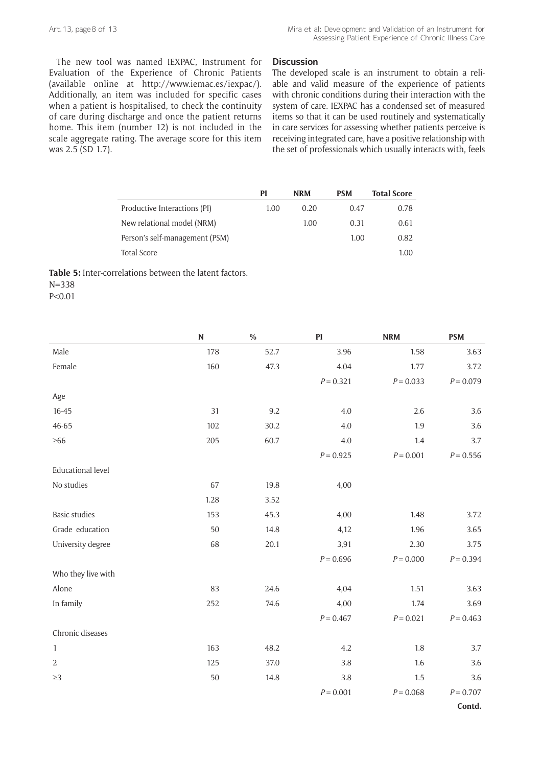The new tool was named IEXPAC, Instrument for Evaluation of the Experience of Chronic Patients (available online at http://www.iemac.es/iexpac/). Additionally, an item was included for specific cases when a patient is hospitalised, to check the continuity of care during discharge and once the patient returns home. This item (number 12) is not included in the scale aggregate rating. The average score for this item was 2.5 (SD 1.7).

#### **Discussion**

The developed scale is an instrument to obtain a reliable and valid measure of the experience of patients with chronic conditions during their interaction with the system of care. IEXPAC has a condensed set of measured items so that it can be used routinely and systematically in care services for assessing whether patients perceive is receiving integrated care, have a positive relationship with the set of professionals which usually interacts with, feels

|                                | PI   | <b>NRM</b> | <b>PSM</b> | <b>Total Score</b> |
|--------------------------------|------|------------|------------|--------------------|
| Productive Interactions (PI)   | 1.00 | 0.20       | 0.47       | 0.78               |
| New relational model (NRM)     |      | 1.00       | 0.31       | 0.61               |
| Person's self-management (PSM) |      |            | 1.00       | 0.82               |
| <b>Total Score</b>             |      |            |            | 1.00               |

**Table 5:** Inter-correlations between the latent factors. N=338 P<0.01

|                          | ${\bf N}$ | $\%$ | PI          | <b>NRM</b>  | <b>PSM</b>  |
|--------------------------|-----------|------|-------------|-------------|-------------|
| Male                     | 178       | 52.7 | 3.96        | 1.58        | 3.63        |
| Female                   | 160       | 47.3 | 4.04        | 1.77        | 3.72        |
|                          |           |      | $P = 0.321$ | $P = 0.033$ | $P = 0.079$ |
| Age                      |           |      |             |             |             |
| $16 - 45$                | 31        | 9.2  | 4.0         | 2.6         | 3.6         |
| 46-65                    | 102       | 30.2 | 4.0         | 1.9         | 3.6         |
| $\geq 66$                | 205       | 60.7 | 4.0         | 1.4         | 3.7         |
|                          |           |      | $P = 0.925$ | $P = 0.001$ | $P = 0.556$ |
| <b>Educational level</b> |           |      |             |             |             |
| No studies               | 67        | 19.8 | 4,00        |             |             |
|                          | 1.28      | 3.52 |             |             |             |
| <b>Basic studies</b>     | 153       | 45.3 | 4,00        | 1.48        | 3.72        |
| Grade education          | 50        | 14.8 | 4,12        | 1.96        | 3.65        |
| University degree        | 68        | 20.1 | 3,91        | 2.30        | 3.75        |
|                          |           |      | $P = 0.696$ | $P = 0.000$ | $P = 0.394$ |
| Who they live with       |           |      |             |             |             |
| Alone                    | 83        | 24.6 | 4,04        | 1.51        | 3.63        |
| In family                | 252       | 74.6 | 4,00        | 1.74        | 3.69        |
|                          |           |      | $P = 0.467$ | $P = 0.021$ | $P = 0.463$ |
| Chronic diseases         |           |      |             |             |             |
| $\mathbf{1}$             | 163       | 48.2 | 4.2         | 1.8         | 3.7         |
| $\sqrt{2}$               | 125       | 37.0 | 3.8         | 1.6         | 3.6         |
| $\geq$ 3                 | 50        | 14.8 | 3.8         | 1.5         | 3.6         |
|                          |           |      | $P = 0.001$ | $P = 0.068$ | $P = 0.707$ |
|                          |           |      |             |             | Contd.      |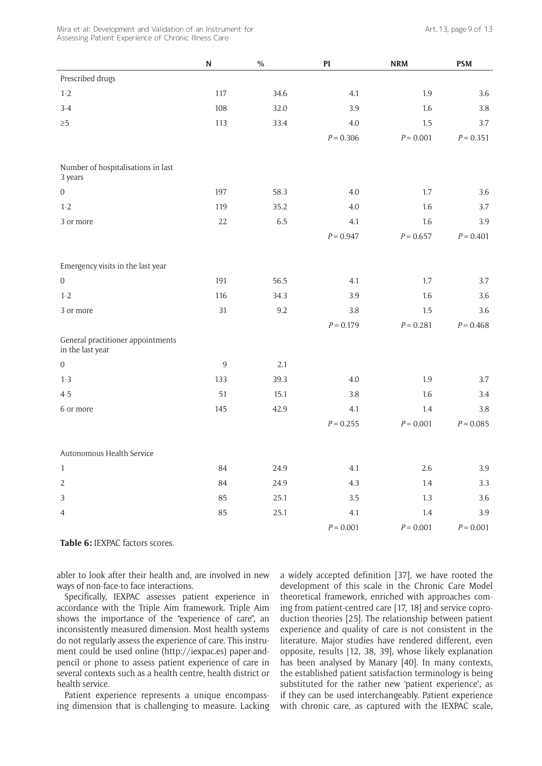Mira et al: Development and Validation of an Instrument for Assessing Patient Experience of Chronic Illness Care

|                                                       | ${\bf N}$ | $\%$ | PI          | <b>NRM</b>  | <b>PSM</b>  |
|-------------------------------------------------------|-----------|------|-------------|-------------|-------------|
| Prescribed drugs                                      |           |      |             |             |             |
| $1 - 2$                                               | 117       | 34.6 | 4.1         | 1.9         | 3.6         |
| $3-4$                                                 | 108       | 32.0 | 3.9         | 1.6         | $3.8\,$     |
| $\geq 5$                                              | 113       | 33.4 | $4.0\,$     | 1.5         | 3.7         |
|                                                       |           |      | $P = 0.306$ | $P = 0.001$ | $P = 0.351$ |
| Number of hospitalisations in last<br>3 years         |           |      |             |             |             |
| $\boldsymbol{0}$                                      | 197       | 58.3 | 4.0         | $1.7\,$     | 3.6         |
| $1 - 2$                                               | 119       | 35.2 | 4.0         | 1.6         | 3.7         |
| 3 or more                                             | 22        | 6.5  | 4.1         | 1.6         | 3.9         |
|                                                       |           |      | $P = 0.947$ | $P = 0.657$ | $P = 0.401$ |
| Emergency visits in the last year                     |           |      |             |             |             |
| $\boldsymbol{0}$                                      | 191       | 56.5 | 4.1         | $1.7\,$     | 3.7         |
| $1 - 2$                                               | 116       | 34.3 | 3.9         | 1.6         | 3.6         |
| 3 or more                                             | 31        | 9.2  | 3.8         | 1.5         | 3.6         |
|                                                       |           |      | $P = 0.179$ | $P = 0.281$ | $P = 0.468$ |
| General practitioner appointments<br>in the last year |           |      |             |             |             |
| $\boldsymbol{0}$                                      | 9         | 2.1  |             |             |             |
| $1 - 3$                                               | 133       | 39.3 | 4.0         | 1.9         | 3.7         |
| $4 - 5$                                               | 51        | 15.1 | 3.8         | 1.6         | 3.4         |
| 6 or more                                             | 145       | 42.9 | 4.1         | 1.4         | 3.8         |
|                                                       |           |      | $P = 0.255$ | $P = 0.001$ | $P = 0.085$ |
| Autonomous Health Service                             |           |      |             |             |             |
| $\mathbf{1}$                                          | 84        | 24.9 | 4.1         | 2.6         | 3.9         |
| $\sqrt{2}$                                            | 84        | 24.9 | 4.3         | $1.4\,$     | 3.3         |
| $\mathsf 3$                                           | 85        | 25.1 | 3.5         | $1.3\,$     | $3.6\,$     |
| $\overline{4}$                                        | 85        | 25.1 | 4.1         | 1.4         | 3.9         |
|                                                       |           |      | $P = 0.001$ | $P = 0.001$ | $P = 0.001$ |

**Table 6:** IEXPAC factors scores.

abler to look after their health and, are involved in new ways of non-face-to face interactions.

Specifically, IEXPAC assesses patient experience in accordance with the Triple Aim framework. Triple Aim shows the importance of the "experience of care", an inconsistently measured dimension. Most health systems do not regularly assess the experience of care. This instrument could be used online ([http://iexpac.es\)](http://iexpac.es) paper-andpencil or phone to assess patient experience of care in several contexts such as a health centre, health district or health service.

Patient experience represents a unique encompassing dimension that is challenging to measure. Lacking a widely accepted definition [37], we have rooted the development of this scale in the Chronic Care Model theoretical framework, enriched with approaches coming from patient-centred care [17, 18] and service coproduction theories [25]. The relationship between patient experience and quality of care is not consistent in the literature. Major studies have rendered different, even opposite, results [12, 38, 39], whose likely explanation has been analysed by Manary [40]. In many contexts, the established patient satisfaction terminology is being substituted for the rather new 'patient experience', as if they can be used interchangeably. Patient experience with chronic care, as captured with the IEXPAC scale,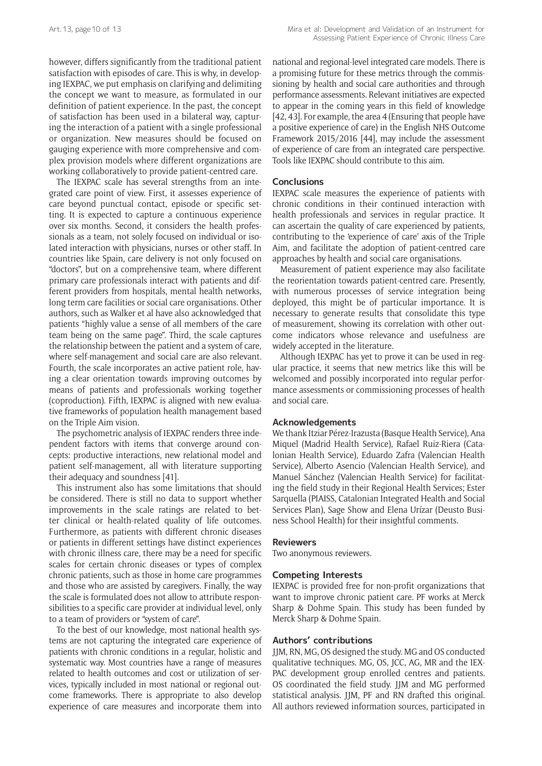however, differs significantly from the traditional patient satisfaction with episodes of care. This is why, in developing IEXPAC, we put emphasis on clarifying and delimiting the concept we want to measure, as formulated in our definition of patient experience. In the past, the concept of satisfaction has been used in a bilateral way, capturing the interaction of a patient with a single professional or organization. New measures should be focused on gauging experience with more comprehensive and complex provision models where different organizations are working collaboratively to provide patient-centred care.

The IEXPAC scale has several strengths from an integrated care point of view. First, it assesses experience of care beyond punctual contact, episode or specific setting. It is expected to capture a continuous experience over six months. Second, it considers the health professionals as a team, not solely focused on individual or isolated interaction with physicians, nurses or other staff. In countries like Spain, care delivery is not only focused on "doctors", but on a comprehensive team, where different primary care professionals interact with patients and different providers from hospitals, mental health networks, long term care facilities or social care organisations. Other authors, such as Walker et al have also acknowledged that patients "highly value a sense of all members of the care team being on the same page". Third, the scale captures the relationship between the patient and a system of care, where self-management and social care are also relevant. Fourth, the scale incorporates an active patient role, having a clear orientation towards improving outcomes by means of patients and professionals working together (coproduction). Fifth, IEXPAC is aligned with new evaluative frameworks of population health management based on the Triple Aim vision.

The psychometric analysis of IEXPAC renders three independent factors with items that converge around concepts: productive interactions, new relational model and patient self-management, all with literature supporting their adequacy and soundness [41].

This instrument also has some limitations that should be considered. There is still no data to support whether improvements in the scale ratings are related to better clinical or health-related quality of life outcomes. Furthermore, as patients with different chronic diseases or patients in different settings have distinct experiences with chronic illness care, there may be a need for specific scales for certain chronic diseases or types of complex chronic patients, such as those in home care programmes and those who are assisted by caregivers. Finally, the way the scale is formulated does not allow to attribute responsibilities to a specific care provider at individual level, only to a team of providers or "system of care".

To the best of our knowledge, most national health systems are not capturing the integrated care experience of patients with chronic conditions in a regular, holistic and systematic way. Most countries have a range of measures related to health outcomes and cost or utilization of services, typically included in most national or regional outcome frameworks. There is appropriate to also develop experience of care measures and incorporate them into

national and regional-level integrated care models. There is a promising future for these metrics through the commissioning by health and social care authorities and through performance assessments. Relevant initiatives are expected to appear in the coming years in this field of knowledge [42, 43]. For example, the area 4 (Ensuring that people have a positive experience of care) in the English NHS Outcome Framework 2015/2016 [44], may include the assessment of experience of care from an integrated care perspective. Tools like IEXPAC should contribute to this aim.

### **Conclusions**

IEXPAC scale measures the experience of patients with chronic conditions in their continued interaction with health professionals and services in regular practice. It can ascertain the quality of care experienced by patients, contributing to the 'experience of care' axis of the Triple Aim, and facilitate the adoption of patient-centred care approaches by health and social care organisations.

Measurement of patient experience may also facilitate the reorientation towards patient-centred care. Presently, with numerous processes of service integration being deployed, this might be of particular importance. It is necessary to generate results that consolidate this type of measurement, showing its correlation with other outcome indicators whose relevance and usefulness are widely accepted in the literature.

Although IEXPAC has yet to prove it can be used in regular practice, it seems that new metrics like this will be welcomed and possibly incorporated into regular performance assessments or commissioning processes of health and social care.

#### **Acknowledgements**

We thank Itziar Pérez-Irazusta (Basque Health Service), Ana Miquel (Madrid Health Service), Rafael Ruiz-Riera (Catalonian Health Service), Eduardo Zafra (Valencian Health Service), Alberto Asencio (Valencian Health Service), and Manuel Sánchez (Valencian Health Service) for facilitating the field study in their Regional Health Services; Ester Sarquella (PIAISS, Catalonian Integrated Health and Social Services Plan), Sage Show and Elena Urízar (Deusto Business School Health) for their insightful comments.

#### **Reviewers**

Two anonymous reviewers.

# **Competing Interests**

IEXPAC is provided free for non-profit organizations that want to improve chronic patient care. PF works at Merck Sharp & Dohme Spain. This study has been funded by Merck Sharp & Dohme Spain.

# **Authors' contributions**

JJM, RN, MG, OS designed the study. MG and OS conducted qualitative techniques. MG, OS, JCC, AG, MR and the IEX-PAC development group enrolled centres and patients. OS coordinated the field study. JJM and MG performed statistical analysis. JJM, PF and RN drafted this original. All authors reviewed information sources, participated in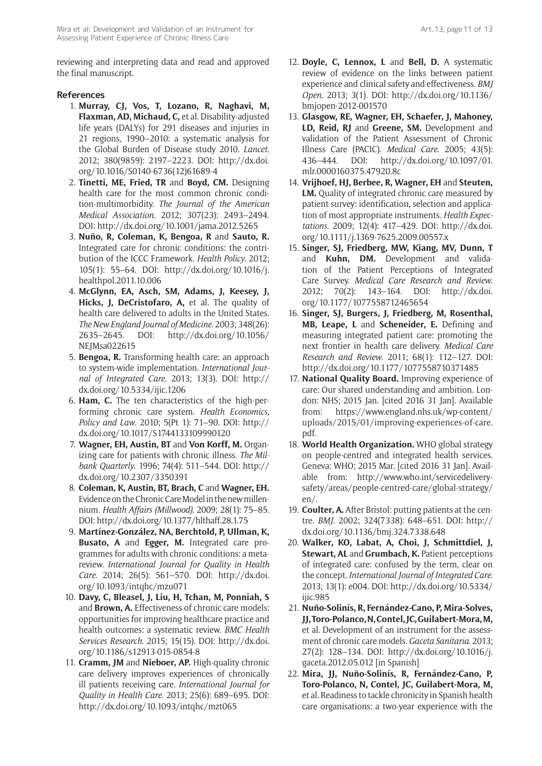Mira et al: Development and Validation of an Instrument for Assessing Patient Experience of Chronic Illness Care

reviewing and interpreting data and read and approved the final manuscript.

# **References**

- 1. **Murray, CJ, Vos, T, Lozano, R, Naghavi, M, Flaxman, AD, Michaud, C,** et al. Disability-adjusted life years (DALYs) for 291 diseases and injuries in 21 regions, 1990–2010: a systematic analysis for the Global Burden of Disease study 2010. *Lancet*. 2012; 380(9859): 2197–2223. DOI: [http://dx.doi.](http://dx.doi.org/10.1016/S0140-6736(12)61689-4) [org/10.1016/S0140-6736\(12\)61689-4](http://dx.doi.org/10.1016/S0140-6736(12)61689-4)
- 2. **Tinetti, ME, Fried, TR** and **Boyd, CM.** Designing health care for the most common chronic condition-multimorbidity. *The Journal of the American Medical Association*. 2012; 307(23): 2493–2494. DOI:<http://dx.doi.org/10.1001/jama.2012.5265>
- 3. **Nuño, R, Coleman, K, Bengoa, R** and **Sauto, R.** Integrated care for chronic conditions: the contribution of the ICCC Framework. *Health Policy*. 2012; 105(1): 55–64. DOI: [http://dx.doi.org/10.1016/j.](http://dx.doi.org/10.1016/j.healthpol.2011.10.006) [healthpol.2011.10.006](http://dx.doi.org/10.1016/j.healthpol.2011.10.006)
- 4. **McGlynn, EA, Asch, SM, Adams, J, Keesey, J, Hicks, J, DeCristofaro, A,** et al. The quality of health care delivered to adults in the United States. *The New England Journal of Medicine*. 2003; 348(26): 2635–2645. DOI: [http://dx.doi.org/10.1056/](http://dx.doi.org/10.1056/NEJMsa022615) [NEJMsa022615](http://dx.doi.org/10.1056/NEJMsa022615)
- 5. **Bengoa, R.** Transforming health care: an approach to system-wide implementation. *International Journal of Integrated Care*. 2013; 13(3). DOI: [http://](http://dx.doi.org/10.5334/ijic.1206) [dx.doi.org/10.5334/ijic.1206](http://dx.doi.org/10.5334/ijic.1206)
- 6. **Ham, C.** The ten characteristics of the high-performing chronic care system. *Health Economics, Policy and Law*. 2010; 5(Pt 1): 71–90. DOI: [http://](http://dx.doi.org/10.1017/S1744133109990120) [dx.doi.org/10.1017/S1744133109990120](http://dx.doi.org/10.1017/S1744133109990120)
- 7. **Wagner, EH, Austin, BT** and **Von Korff, M.** Organizing care for patients with chronic illness. *The Milbank Quarterly*. 1996; 74(4): 511–544. DOI: [http://](http://dx.doi.org/10.2307/3350391) [dx.doi.org/10.2307/3350391](http://dx.doi.org/10.2307/3350391)
- 8. **Coleman, K, Austin, BT, Brach, C** and **Wagner, EH.** Evidence on the Chronic Care Model in the new millennium. *Health Affairs (Millwood)*. 2009; 28(1): 75–85. <DOI: http://dx.doi.org/10.1377/hlthaff.28.1.75>
- 9. **Martínez-González, NA, Berchtold, P, Ullman, K, Busato, A** and **Egger, M.** Integrated care programmes for adults with chronic conditions: a metareview. *International Journal for Quality in Health Care*. 2014; 26(5): 561–570. DOI: [http://dx.doi.](http://dx.doi.org/10.1093/intqhc/mzu071) [org/10.1093/intqhc/mzu071](http://dx.doi.org/10.1093/intqhc/mzu071)
- 10. **Davy, C, Bleasel, J, Liu, H, Tchan, M, Ponniah, S**  and **Brown, A.** [Effectiveness of chronic care models:](http://www.ncbi.nlm.nih.gov/pmc/articles/PMC4448852/)  [opportunities for improving healthcare practice and](http://www.ncbi.nlm.nih.gov/pmc/articles/PMC4448852/)  [health outcomes: a systematic review](http://www.ncbi.nlm.nih.gov/pmc/articles/PMC4448852/). *BMC Health Services Research*. 2015; 15(15). DOI: [http://dx.doi.](http://dx.doi.org/10.1186/s12913-015-0854-8) [org/10.1186/s12913-015-0854-8](http://dx.doi.org/10.1186/s12913-015-0854-8)
- 11. **Cramm, JM** and **Nieboer, AP.** High-quality chronic care delivery improves experiences of chronically ill patients receiving care. *International Journal for Quality in Health Care*. 2013; 25(6): 689–695. DOI: http://dx.doi.org/10.1093/intqhc/mzt065
- 12. **Doyle, C, Lennox, L** and **Bell, D.** A systematic review of evidence on the links between patient experience and clinical safety and effectiveness. *BMJ Open*. 2013; 3(1). DOI: [http://dx.doi.org/10.1136/](http://dx.doi.org/10.1136/bmjopen-2012-001570) [bmjopen-2012-001570](http://dx.doi.org/10.1136/bmjopen-2012-001570)
- 13. **Glasgow, RE, Wagner, EH, Schaefer, J, Mahoney, LD, Reid, RJ** and **Greene, SM.** Development and validation of the Patient Assessment of Chronic Illness Care (PACIC). *Medical Care*. 2005; 43(5): 436–444. DOI: [http://dx.doi.org/10.1097/01.](http://dx.doi.org/10.1097/01.mlr.0000160375.47920.8c) [mlr.0000160375.47920.8c](http://dx.doi.org/10.1097/01.mlr.0000160375.47920.8c)
- 14. **Vrijhoef, HJ, Berbee, R, Wagner, EH** and **Steuten, LM.** Quality of integrated chronic care measured by patient survey: identification, selection and application of most appropriate instruments. *Health Expectations*. 2009; 12(4): 417–429. DOI: [http://dx.doi.](http://dx.doi.org/10.1111/j.1369-7625.2009.00557.x) [org/10.1111/j.1369-7625.2009.00557.x](http://dx.doi.org/10.1111/j.1369-7625.2009.00557.x)
- 15. **Singer, SJ, Friedberg, MW, Kiang, MV, Dunn, T**  and **Kuhn, DM.** Development and validation of the Patient Perceptions of Integrated Care Survey. *Medical Care Research and Review*. 2012; 70(2): 143–164. DOI: [http://dx.doi.](http://dx.doi.org/10.1177/1077558712465654) [org/10.1177/1077558712465654](http://dx.doi.org/10.1177/1077558712465654)
- 16. **Singer, SJ, Burgers, J, Friedberg, M, Rosenthal, MB, Leape, L** and **Scheneider, E.** Defining and measuring integrated patient care: promoting the next frontier in health care delivery. *Medical Care Research and Review*. 2011; 68(1): 112–127. DOI: <http://dx.doi.org/10.1177/1077558710371485>
- 17. **National Quality Board.** Improving experience of care: Our shared understanding and ambition. London: NHS; 2015 Jan. [cited 2016 31 Jan]. Available from: [https://www.england.nhs.uk/wp-content/](https://www.england.nhs.uk/wp-content/uploads/2015/01/improving-experiences-of-care.pdf) [uploads/2015/01/improving-experiences-of-care.](https://www.england.nhs.uk/wp-content/uploads/2015/01/improving-experiences-of-care.pdf) [pdf.](https://www.england.nhs.uk/wp-content/uploads/2015/01/improving-experiences-of-care.pdf)
- 18. **World Health Organization.** WHO global strategy on people-centred and integrated health services. Geneva: WHO; 2015 Mar. [cited 2016 31 Jan]. Available from: [http://www.who.int/servicedelivery](http://www.who.int/servicedeliverysafety/areas/people-centred-care/global-strategy/en/)[safety/areas/people-centred-care/global-strategy/](http://www.who.int/servicedeliverysafety/areas/people-centred-care/global-strategy/en/) [en/.](http://www.who.int/servicedeliverysafety/areas/people-centred-care/global-strategy/en/)
- 19. **Coulter, A.** After Bristol: putting patients at the centre. *BMJ*. 2002; 324(7338): 648–651. DOI: [http://](http://dx.doi.org/10.1136/bmj.324.7338.648) [dx.doi.org/10.1136/bmj.324.7338.648](http://dx.doi.org/10.1136/bmj.324.7338.648)
- 20. **Walker, KO, Labat, A, Choi, J, Schmittdiel, J, Stewart, AL** and **Grumbach, K.** Patient perceptions of integrated care: confused by the term, clear on the concept. *International Journal of Integrated Care*. 2013; 13(1): e004. DOI: [http://dx.doi.org/10.5334/](http://dx.doi.org/10.5334/ijic.985) [ijic.985](http://dx.doi.org/10.5334/ijic.985)
- 21. **Nuño-Solinís, R, Fernández-Cano, P, Mira-Solves, JJ, Toro-Polanco, N, Contel, JC, Guilabert-Mora, M,** et al. Development of an instrument for the assessment of chronic care models. *Gaceta Sanitaria*. 2013; 27(2): 128–134. DOI: [http://dx.doi.org/10.1016/j.](http://dx.doi.org/10.1016/j.gaceta.2012.05.012) [gaceta.2012.05.012](http://dx.doi.org/10.1016/j.gaceta.2012.05.012) [in Spanish]
- 22. **Mira, JJ, Nuño-Solinís, R, Fernández-Cano, P, Toro-Polanco, N, Contel, JC, Guilabert-Mora, M,** et al. Readiness to tackle chronicity in Spanish health care organisations: a two-year experience with the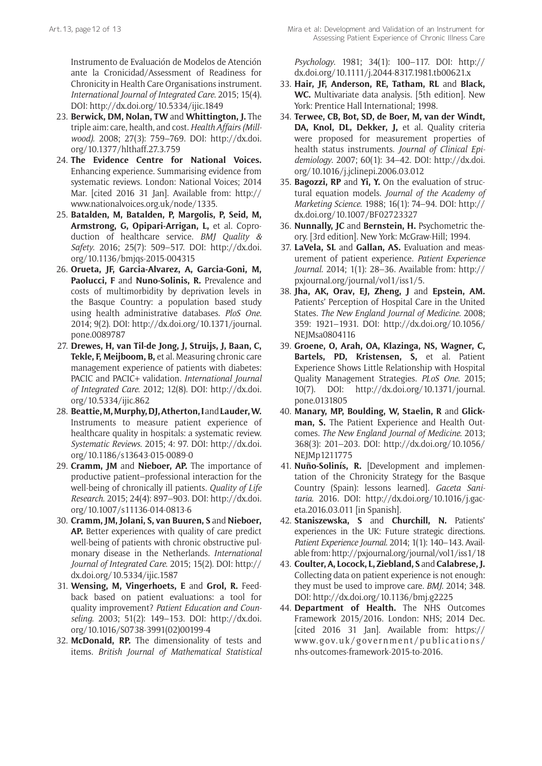Instrumento de Evaluación de Modelos de Atención ante la Cronicidad/Assessment of Readiness for Chronicity in Health Care Organisations instrument. *International Journal of Integrated Care*. 2015; 15(4). DOI: <http://dx.doi.org/10.5334/ijic.1849>

- 23. **Berwick, DM, Nolan, TW** and **Whittington, J.** The triple aim: care, health, and cost. *Health Affairs (Millwood)*. 2008; 27(3): 759–769. DOI: [http://dx.doi.](http://dx.doi.org/10.1377/hlthaff.27.3.759) [org/10.1377/hlthaff.27.3.759](http://dx.doi.org/10.1377/hlthaff.27.3.759)
- 24. **The Evidence Centre for National Voices.** Enhancing experience. Summarising evidence from systematic reviews. London: National Voices; 2014 Mar. [cited 2016 31 Jan]. Available from: [http://](http://www.nationalvoices.org.uk/node/1335) [www.nationalvoices.org.uk/node/1335.](http://www.nationalvoices.org.uk/node/1335)
- 25. **Batalden, M, Batalden, P, Margolis, P, Seid, M, Armstrong, G, Opipari-Arrigan, L,** et al. Coproduction of healthcare service. *BMJ Quality & Safety*. 2016; 25(7): 509–517. DOI: [http://dx.doi.](http://dx.doi.org/10.1136/bmjqs-2015-004315) [org/10.1136/bmjqs-2015-004315](http://dx.doi.org/10.1136/bmjqs-2015-004315)
- 26. **Orueta, JF, Garcia-Alvarez, A, Garcia-Goni, M, Paolucci, F** and **Nuno-Solinis, R.** Prevalence and costs of multimorbidity by deprivation levels in the Basque Country: a population based study using health administrative databases. *PloS One*. 2014; 9(2). DOI: [http://dx.doi.org/10.1371/journal.](http://dx.doi.org/10.1371/journal.pone.0089787) [pone.0089787](http://dx.doi.org/10.1371/journal.pone.0089787)
- 27. **Drewes, H, van Til-de Jong, J, Struijs, J, Baan, C, Tekle, F, Meijboom, B,** et al. Measuring chronic care management experience of patients with diabetes: PACIC and PACIC+ validation. *International Journal of Integrated Care*. 2012; 12(8). DOI: [http://dx.doi.](http://dx.doi.org/10.5334/ijic.862) [org/10.5334/ijic.862](http://dx.doi.org/10.5334/ijic.862)
- 28. Beattie, M, Murphy, DJ, Atherton, I and Lauder, W. Instruments to measure patient experience of healthcare quality in hospitals: a systematic review. *Systematic Reviews*. 2015; 4: 97. DOI: [http://dx.doi.](http://dx.doi.org/10.1186/s13643-015-0089-0) [org/10.1186/s13643-015-0089-0](http://dx.doi.org/10.1186/s13643-015-0089-0)
- 29. **Cramm, JM** and **Nieboer, AP.** The importance of productive patient–professional interaction for the well-being of chronically ill patients. *Quality of Life Research*. 2015; 24(4): 897–903. DOI: [http://dx.doi.](http://dx.doi.org/10.1007/s11136-014-0813-6) [org/10.1007/s11136-014-0813-6](http://dx.doi.org/10.1007/s11136-014-0813-6)
- 30. **Cramm, JM, Jolani, S, van Buuren, S** and **Nieboer, AP.** Better experiences with quality of care predict well-being of patients with chronic obstructive pulmonary disease in the Netherlands. *International Journal of Integrated Care*. 2015; 15(2). DOI: [http://](http://dx.doi.org/10.5334/ijic.1587) [dx.doi.org/10.5334/ijic.1587](http://dx.doi.org/10.5334/ijic.1587)
- 31. **Wensing, M, Vingerhoets, E** and **Grol, R.** Feedback based on patient evaluations: a tool for quality improvement? *Patient Education and Counseling*. 2003; 51(2): 149–153. DOI: [http://dx.doi.](http://dx.doi.org/10.1016/S0738-3991(02)00199-4) [org/10.1016/S0738-3991\(02\)00199-4](http://dx.doi.org/10.1016/S0738-3991(02)00199-4)
- 32. **McDonald, RP.** The dimensionality of tests and items. *British Journal of Mathematical Statistical*

*Psychology*. 1981; 34(1): 100–117. DOI: [http://](http://dx.doi.org/10.1111/j.2044-8317.1981.tb00621.x) [dx.doi.org/10.1111/j.2044-8317.1981.tb00621.x](http://dx.doi.org/10.1111/j.2044-8317.1981.tb00621.x)

- 33. **Hair, JF, Anderson, RE, Tatham, RL** and **Black, WC.** Multivariate data analysis. [5th edition]. New York: Prentice Hall International; 1998.
- 34. **Terwee, CB, Bot, SD, de Boer, M, van der Windt, DA, Knol, DL, Dekker, J,** et al. Quality criteria were proposed for measurement properties of health status instruments. *Journal of Clinical Epidemiology*. 2007; 60(1): 34–42. DOI: [http://dx.doi.](http://dx.doi.org/10.1016/j.jclinepi.2006.03.012) [org/10.1016/j.jclinepi.2006.03.012](http://dx.doi.org/10.1016/j.jclinepi.2006.03.012)
- 35. **Bagozzi, RP** and **Yi, Y.** On the evaluation of structural equation models. *Journal of the Academy of Marketing Science*. 1988; 16(1): 74–94. DOI: [http://](http://dx.doi.org/10.1007/BF02723327) [dx.doi.org/10.1007/BF02723327](http://dx.doi.org/10.1007/BF02723327)
- 36. **Nunnally, JC** and **Bernstein, H.** Psychometric theory. [3rd edition]. New York: McGraw-Hill; 1994.
- 37. **LaVela, SL** and **Gallan, AS.** Evaluation and measurement of patient experience. *Patient Experience Journal*. 2014; 1(1): 28–36. Available from: http:// pxjournal.org/journal/vol1/iss1/5.
- 38. **Jha, AK, Orav, EJ, Zheng, J** and **Epstein, AM.** Patients' Perception of Hospital Care in the United States. *The New England Journal of Medicine*. 2008; 359: 1921–1931. DOI: [http://dx.doi.org/10.1056/](http://dx.doi.org/10.1056/NEJMsa0804116) [NEJMsa0804116](http://dx.doi.org/10.1056/NEJMsa0804116)
- 39. **Groene, O, Arah, OA, Klazinga, NS, Wagner, C, Bartels, PD, Kristensen, S,** et al. Patient Experience Shows Little Relationship with Hospital Quality Management Strategies. *PLoS One*. 2015; 10(7). DOI: [http://dx.doi.org/10.1371/journal.](http://dx.doi.org/10.1371/journal.pone.0131805) [pone.0131805](http://dx.doi.org/10.1371/journal.pone.0131805)
- 40. **Manary, MP, Boulding, W, Staelin, R** and **Glickman, S.** The Patient Experience and Health Outcomes. *The New England Journal of Medicine*. 2013; 368(3): 201–203. DOI: [http://dx.doi.org/10.1056/](http://dx.doi.org/10.1056/NEJMp1211775) [NEJMp1211775](http://dx.doi.org/10.1056/NEJMp1211775)
- 41. **Nuño-Solinís, R.** [Development and implementation of the Chronicity Strategy for the Basque Country (Spain): lessons learned]. *Gaceta Sanitaria*. 2016. DOI: [http://dx.doi.org/10.1016/j.gac](http://dx.doi.org/10.1016/j.gaceta.2016.03.011)[eta.2016.03.011](http://dx.doi.org/10.1016/j.gaceta.2016.03.011) [in Spanish].
- 42. **Staniszewska, S** and **Churchill, N.** Patients' experiences in the UK: Future strategic directions. *Patient Experience Journal*. 2014; 1(1): 140–143. Available from: http://pxjournal.org/journal/vol1/iss1/18
- 43. **Coulter, A, Locock, L, Ziebland, S** and **Calabrese, J.** Collecting data on patient experience is not enough: they must be used to improve care. *BMJ*. 2014; 348. DOI: <http://dx.doi.org/10.1136/bmj.g2225>
- 44. **Department of Health.** The NHS Outcomes Framework 2015/2016. London: NHS; 2014 Dec. [cited 2016 31 Jan]. Available from: [https://](https://www.gov.uk/government/publications/nhs-outcomes-framework-2015-to-2016) [www.gov.uk/government/publications/](https://www.gov.uk/government/publications/nhs-outcomes-framework-2015-to-2016) [nhs-outcomes-framework-2015-to-2016](https://www.gov.uk/government/publications/nhs-outcomes-framework-2015-to-2016).